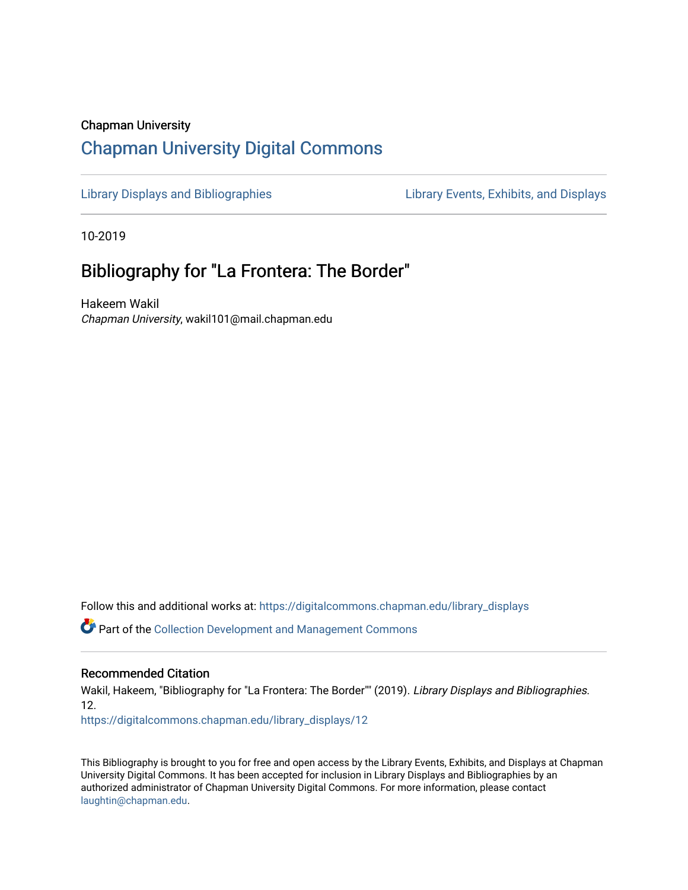# Chapman University [Chapman University Digital Commons](https://digitalcommons.chapman.edu/)

[Library Displays and Bibliographies](https://digitalcommons.chapman.edu/library_displays) Library Events, Exhibits, and Displays

10-2019

# Bibliography for "La Frontera: The Border"

Hakeem Wakil Chapman University, wakil101@mail.chapman.edu

Follow this and additional works at: [https://digitalcommons.chapman.edu/library\\_displays](https://digitalcommons.chapman.edu/library_displays?utm_source=digitalcommons.chapman.edu%2Flibrary_displays%2F12&utm_medium=PDF&utm_campaign=PDFCoverPages)

Part of the [Collection Development and Management Commons](http://network.bepress.com/hgg/discipline/1271?utm_source=digitalcommons.chapman.edu%2Flibrary_displays%2F12&utm_medium=PDF&utm_campaign=PDFCoverPages) 

#### Recommended Citation

Wakil, Hakeem, "Bibliography for "La Frontera: The Border"" (2019). Library Displays and Bibliographies. 12.

[https://digitalcommons.chapman.edu/library\\_displays/12](https://digitalcommons.chapman.edu/library_displays/12?utm_source=digitalcommons.chapman.edu%2Flibrary_displays%2F12&utm_medium=PDF&utm_campaign=PDFCoverPages)

This Bibliography is brought to you for free and open access by the Library Events, Exhibits, and Displays at Chapman University Digital Commons. It has been accepted for inclusion in Library Displays and Bibliographies by an authorized administrator of Chapman University Digital Commons. For more information, please contact [laughtin@chapman.edu.](mailto:laughtin@chapman.edu)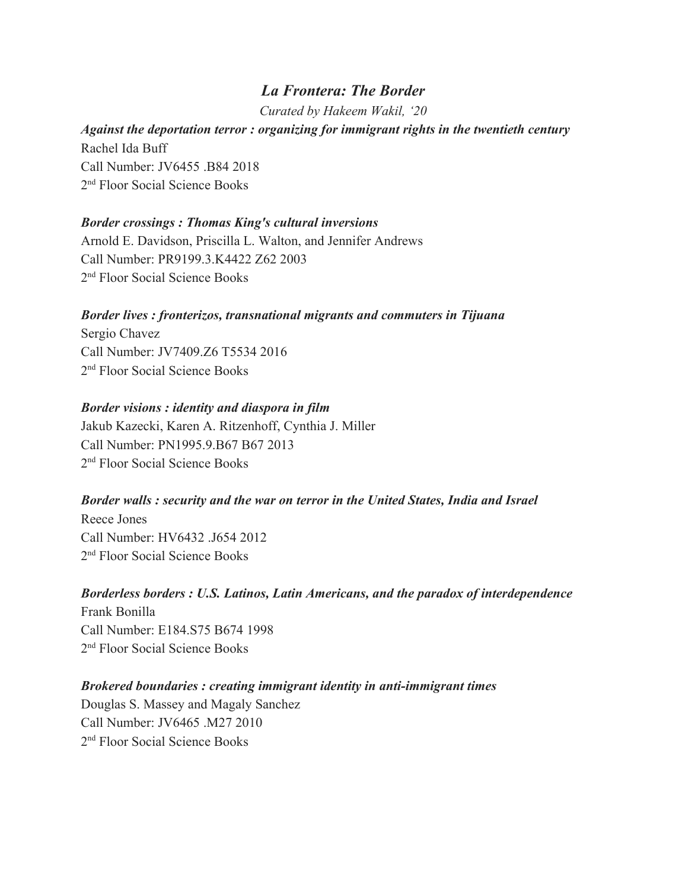# *La Frontera: The Border*

*Curated by Hakeem Wakil, '20*

# *Against the deportation terror : organizing for immigrant rights in the twentieth century* Rachel Ida Buff Call Number: JV6455 .B84 2018 2 nd Floor Social Science Books

## *Border crossings : Thomas King's cultural inversions*

Arnold E. Davidson, Priscilla L. Walton, and Jennifer Andrews Call Number: PR9199.3.K4422 Z62 2003 2 nd Floor Social Science Books

## *Border lives : fronterizos, transnational migrants and commuters in Tijuana*

Sergio Chavez Call Number: JV7409.Z6 T5534 2016 2 nd Floor Social Science Books

#### *Border visions : identity and diaspora in film*

Jakub Kazecki, Karen A. Ritzenhoff, Cynthia J. Miller Call Number: PN1995.9.B67 B67 2013 2 nd Floor Social Science Books

#### *Border walls : security and the war on terror in the United States, India and Israel*

Reece Jones Call Number: HV6432 .J654 2012 2 nd Floor Social Science Books

# *Borderless borders : U.S. Latinos, Latin Americans, and the paradox of interdependence*

Frank Bonilla Call Number: E184.S75 B674 1998 2 nd Floor Social Science Books

## *Brokered boundaries : creating immigrant identity in anti-immigrant times*

Douglas S. Massey and Magaly Sanchez Call Number: JV6465 .M27 2010 2 nd Floor Social Science Books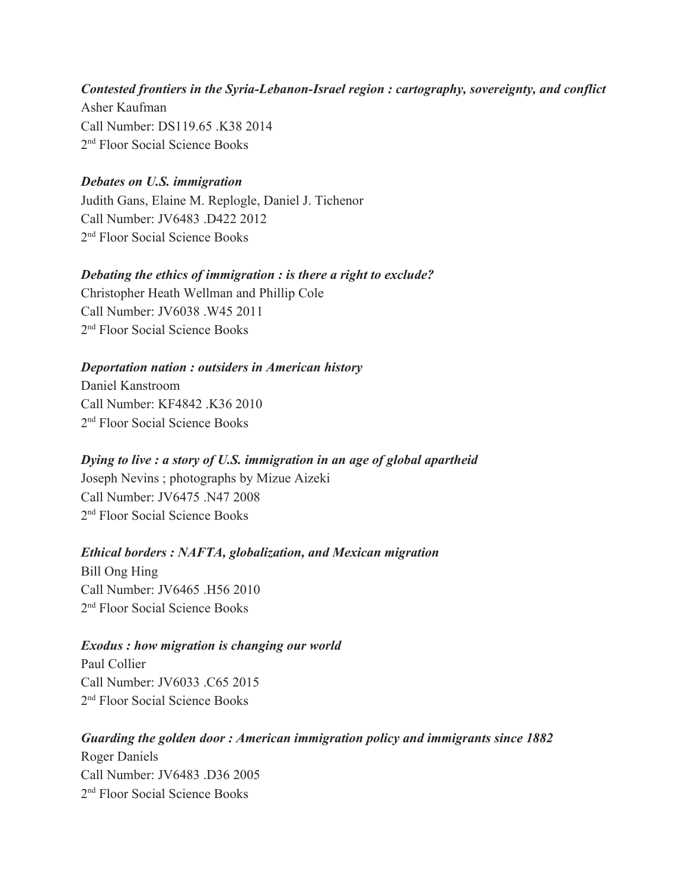## *Contested frontiers in the Syria-Lebanon-Israel region : cartography, sovereignty, and conflict* Asher Kaufman

Call Number: DS119.65 .K38 2014 2 nd Floor Social Science Books

# *Debates on U.S. immigration*

Judith Gans, Elaine M. Replogle, Daniel J. Tichenor Call Number: JV6483 .D422 2012 2 nd Floor Social Science Books

# *Debating the ethics of immigration : is there a right to exclude?*

Christopher Heath Wellman and Phillip Cole Call Number: JV6038 .W45 2011 2 nd Floor Social Science Books

# *Deportation nation : outsiders in American history*

Daniel Kanstroom Call Number: KF4842 K36 2010 2 nd Floor Social Science Books

# *Dying to live : a story of U.S. immigration in an age of global apartheid*

Joseph Nevins ; photographs by Mizue Aizeki Call Number: JV6475 .N47 2008 2 nd Floor Social Science Books

# *Ethical borders : NAFTA, globalization, and Mexican migration*

Bill Ong Hing Call Number: JV6465 .H56 2010 2 nd Floor Social Science Books

## *Exodus : how migration is changing our world*

Paul Collier Call Number: JV6033 .C65 2015 2 nd Floor Social Science Books

## *Guarding the golden door : American immigration policy and immigrants since 1882*

Roger Daniels Call Number: JV6483 .D36 2005 2 nd Floor Social Science Books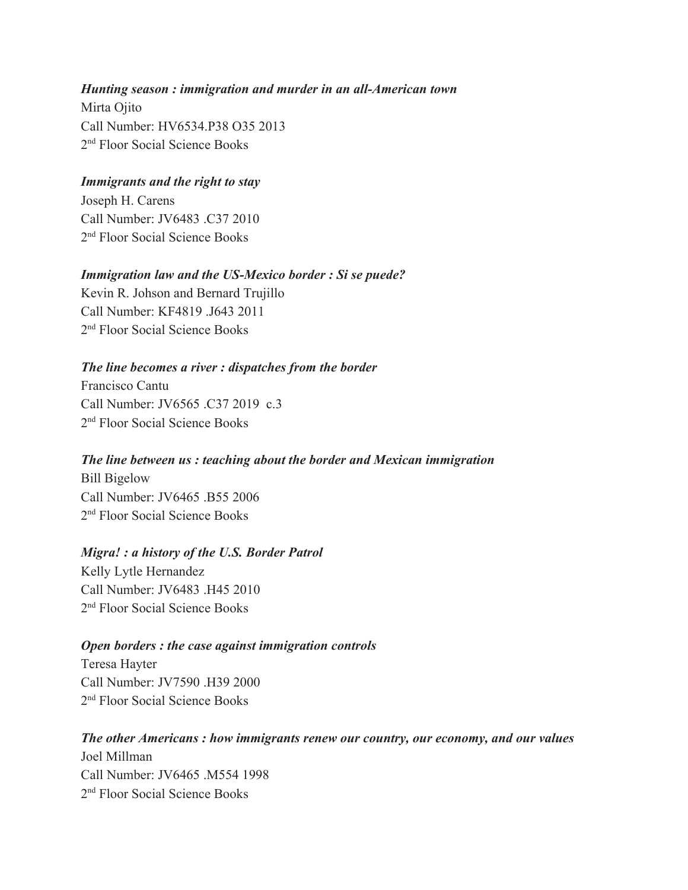## *Hunting season : immigration and murder in an all-American town*

Mirta Ojito Call Number: HV6534.P38 O35 2013 2 nd Floor Social Science Books

### *Immigrants and the right to stay*

Joseph H. Carens Call Number: JV6483 .C37 2010 2 nd Floor Social Science Books

#### *Immigration law and the US-Mexico border : Si se puede?*

Kevin R. Johson and Bernard Trujillo Call Number: KF4819 .J643 2011 2 nd Floor Social Science Books

#### *The line becomes a river : dispatches from the border*

Francisco Cantu Call Number: JV6565 .C37 2019 c.3 2 nd Floor Social Science Books

#### *The line between us : teaching about the border and Mexican immigration*

Bill Bigelow Call Number: JV6465 .B55 2006 2 nd Floor Social Science Books

#### *Migra! : a history of the U.S. Border Patrol*

Kelly Lytle Hernandez Call Number: JV6483 .H45 2010 2 nd Floor Social Science Books

#### *Open borders : the case against immigration controls*

Teresa Hayter Call Number: JV7590 H39 2000 2 nd Floor Social Science Books

# *The other Americans : how immigrants renew our country, our economy, and our values*

Joel Millman Call Number: JV6465 M554 1998 2 nd Floor Social Science Books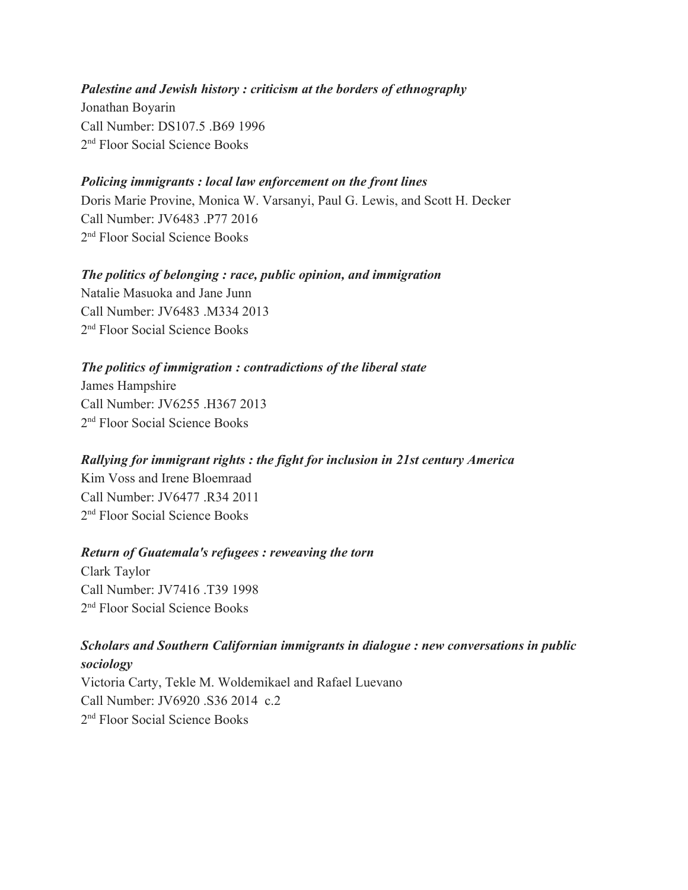#### *Palestine and Jewish history : criticism at the borders of ethnography*

Jonathan Boyarin Call Number: DS107.5 .B69 1996 2 nd Floor Social Science Books

### *Policing immigrants : local law enforcement on the front lines*

Doris Marie Provine, Monica W. Varsanyi, Paul G. Lewis, and Scott H. Decker Call Number: JV6483 .P77 2016 2 nd Floor Social Science Books

#### *The politics of belonging : race, public opinion, and immigration* Natalie Masuoka and Jane Junn

Call Number: JV6483 M334 2013 2 nd Floor Social Science Books

## *The politics of immigration : contradictions of the liberal state*

James Hampshire Call Number: JV6255 .H367 2013 2 nd Floor Social Science Books

## *Rallying for immigrant rights : the fight for inclusion in 21st century America*

Kim Voss and Irene Bloemraad Call Number: JV6477 .R34 2011 2 nd Floor Social Science Books

## *Return of Guatemala's refugees : reweaving the torn*

Clark Taylor Call Number: JV7416 .T39 1998 2 nd Floor Social Science Books

# *Scholars and Southern Californian immigrants in dialogue : new conversations in public sociology*

Victoria Carty, Tekle M. Woldemikael and Rafael Luevano Call Number: JV6920 .S36 2014 c.2 2 nd Floor Social Science Books